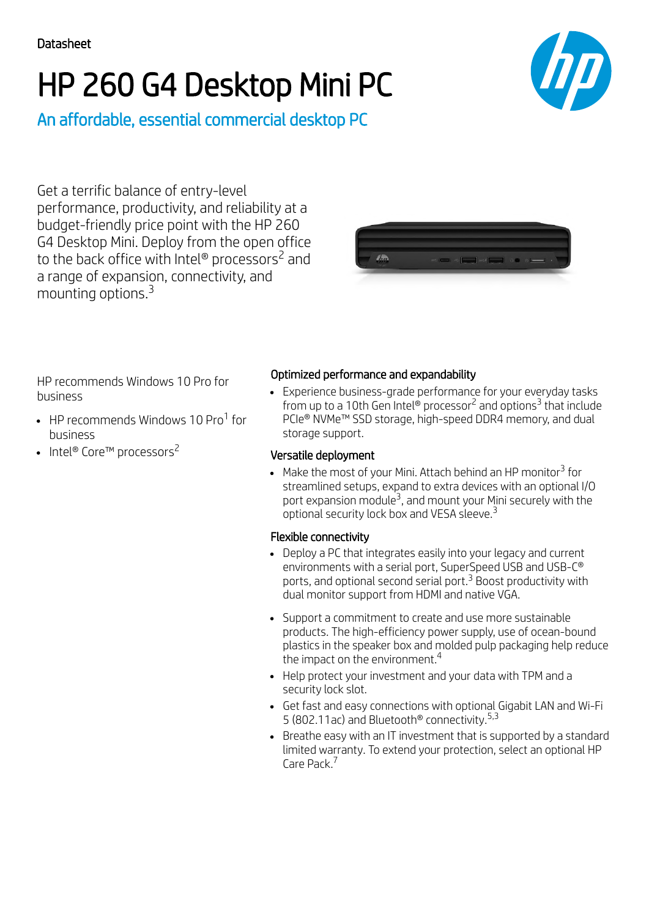# HP 260 G4 Desktop Mini PC



An affordable, essential commercial desktop PC

Get a terrific balance of entry-level performance, productivity, and reliability at a budget-friendly price point with the HP 260 G4 Desktop Mini. Deploy from the open office to the back office with Intel® processors<sup>2</sup> and a range of expansion, connectivity, and mounting options. 3



HP recommends Windows 10 Pro for business

- HP recommends Windows 10 Pro<sup>1</sup> for business
- Intel® Core™ processors<sup>2</sup>

## Optimized performance and expandability

Experience business-grade performance for your everyday tasks from up to a 10th Gen Intel® processor<sup>2</sup> and options<sup>3</sup> that include PCIe® NVMe<sup>™</sup> SSD storage, high-speed DDR4 memory, and dual storage support.

#### Versatile deployment

Make the most of your Mini. Attach behind an HP monitor $^3$  for streamlined setups, expand to extra devices with an optional I/O port expansion module $^3$ , and mount your Mini securely with the optional security lock box and VESA sleeve. $^3$ 

#### Flexible connectivity

- Deploy a PC that integrates easily into your legacy and current environments with a serial port, SuperSpeed USB and USB-C® ports, and optional second serial port.<sup>3</sup> Boost productivity with dual monitor support from HDMI and native VGA.
- Support a commitment to create and use more sustainable products. The high-efficiency power supply, use of ocean-bound plastics in the speaker box and molded pulp packaging help reduce the impact on the environment. $^4$
- Help protect your investment and your data with TPM and a security lock slot.
- Get fast and easy connections with optional Gigabit LAN and Wi-Fi 5 (802.11ac) and Bluetooth<sup>®</sup> connectivity.<sup>5,3</sup>
- Breathe easy with an IT investment that is supported by a standard limited warranty. To extend your protection, select an optional HP Care Pack.<sup>7</sup>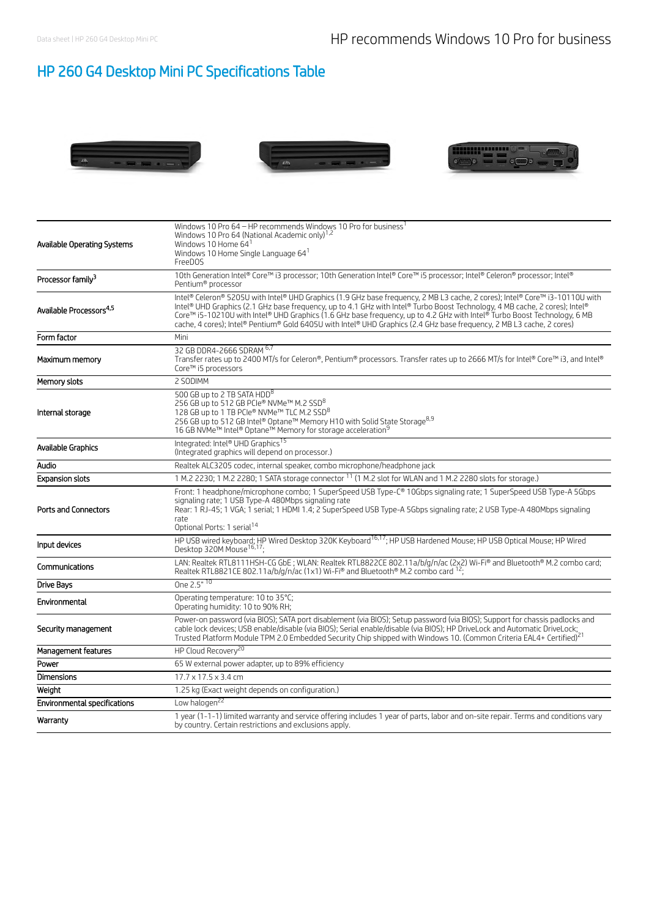# HP 260 G4 Desktop Mini PC Specifications Table







| Available Operating Systems         | Windows 10 Pro 64 - HP recommends Windows 10 Pro for business <sup>1</sup><br>Windows 10 Pro 64 (National Academic only) <sup>1,2</sup><br>Windows 10 Home 641<br>Windows 10 Home Single Language 64 <sup>1</sup><br>FreeDOS                                                                                                                                                                                                                                                                                     |
|-------------------------------------|------------------------------------------------------------------------------------------------------------------------------------------------------------------------------------------------------------------------------------------------------------------------------------------------------------------------------------------------------------------------------------------------------------------------------------------------------------------------------------------------------------------|
| Processor family <sup>3</sup>       | 10th Generation Intel® Core™ i3 processor; 10th Generation Intel® Core™ i5 processor; Intel® Celeron® processor; Intel®<br>Pentium® processor                                                                                                                                                                                                                                                                                                                                                                    |
| Available Processors <sup>4,5</sup> | Intel® Celeron® 5205U with Intel® UHD Graphics (1.9 GHz base frequency, 2 MB L3 cache, 2 cores); Intel® Core™ i3-10110U with<br>Intel® UHD Graphics (2.1 GHz base frequency, up to 4.1 GHz with Intel® Turbo Boost Technology, 4 MB cache, 2 cores); Intel®<br>Core™ i5-10210U with Intel® UHD Graphics (1.6 GHz base frequency, up to 4.2 GHz with Intel® Turbo Boost Technology, 6 MB<br>cache, 4 cores); Intel® Pentium® Gold 6405U with Intel® UHD Graphics (2.4 GHz base frequency, 2 MB L3 cache, 2 cores) |
| Form factor                         | Mini                                                                                                                                                                                                                                                                                                                                                                                                                                                                                                             |
| Maximum memory                      | 32 GB DDR4-2666 SDRAM 6,7<br>Transfer rates up to 2400 MT/s for Celeron®, Pentium® processors. Transfer rates up to 2666 MT/s for Intel® Core™ i3, and Intel®<br>Core™ i5 processors                                                                                                                                                                                                                                                                                                                             |
| Memory slots                        | 2 SODIMM                                                                                                                                                                                                                                                                                                                                                                                                                                                                                                         |
| Internal storage                    | 500 GB up to 2 TB SATA HDD <sup>8</sup><br>256 GB up to 512 GB PCIe® NVMe™ M.2 SSD <sup>8</sup><br>128 GB up to 1 TB PCIe® NVMe™ TLC M.2 SSD <sup>8</sup><br>256 GB up to 512 GB Intel® Optane™ Memory H10 with Solid State Storage <sup>8,9</sup><br>16 GB NVMe™ Intel® Optane™ Memory for storage acceleration <sup>9</sup>                                                                                                                                                                                    |
| Available Graphics                  | Integrated: Intel® UHD Graphics <sup>15</sup><br>(Integrated graphics will depend on processor.)                                                                                                                                                                                                                                                                                                                                                                                                                 |
| Audio                               | Realtek ALC3205 codec, internal speaker, combo microphone/headphone jack                                                                                                                                                                                                                                                                                                                                                                                                                                         |
| <b>Expansion slots</b>              | 1 M.2 2230; 1 M.2 2280; 1 SATA storage connector <sup>11</sup> (1 M.2 slot for WLAN and 1 M.2 2280 slots for storage.)                                                                                                                                                                                                                                                                                                                                                                                           |
| Ports and Connectors                | Front: 1 headphone/microphone combo; 1 SuperSpeed USB Type-C® 10Gbps signaling rate; 1 SuperSpeed USB Type-A 5Gbps<br>signaling rate; 1 USB Type-A 480Mbps signaling rate<br>Rear: 1 RJ-45; 1 VGA; 1 serial; 1 HDMI 1.4; 2 SuperSpeed USB Type-A 5Gbps signaling rate; 2 USB Type-A 480Mbps signaling<br>rate<br>Optional Ports: 1 serial <sup>14</sup>                                                                                                                                                          |
| Input devices                       | HP USB wired keyboard; HP Wired Desktop 320K Keyboard <sup>16,17</sup> ; HP USB Hardened Mouse; HP USB Optical Mouse; HP Wired<br>Desktop 320M Mouse <sup>16,17</sup> ;                                                                                                                                                                                                                                                                                                                                          |
| Communications                      | LAN: Realtek RTL8111HSH-CG GbE; WLAN: Realtek RTL8822CE 802.11a/b/g/n/ac (2x2) Wi-Fi® and Bluetooth® M.2 combo card;<br>Realtek RTL8821CE 802.11a/b/g/n/ac (1x1) Wi-Fi® and Bluetooth® M.2 combo card <sup>12</sup> ;                                                                                                                                                                                                                                                                                            |
| Drive Bays                          | One 2.5" 10                                                                                                                                                                                                                                                                                                                                                                                                                                                                                                      |
| Environmental                       | Operating temperature: 10 to 35°C;<br>Operating humidity: 10 to 90% RH;                                                                                                                                                                                                                                                                                                                                                                                                                                          |
| Security management                 | Power-on password (via BIOS); SATA port disablement (via BIOS); Setup password (via BIOS); Support for chassis padlocks and<br>cable lock devices; USB enable/disable (via BIOS); Serial enable/disable (via BIOS); HP DriveLock and Automatic DriveLock;<br>Trusted Platform Module TPM 2.0 Embedded Security Chip shipped with Windows 10. (Common Criteria EAL4+ Certified) <sup>21</sup>                                                                                                                     |
| Management features                 | HP Cloud Recovery <sup>20</sup>                                                                                                                                                                                                                                                                                                                                                                                                                                                                                  |
| Power                               | 65 W external power adapter, up to 89% efficiency                                                                                                                                                                                                                                                                                                                                                                                                                                                                |
| Dimensions                          | $17.7 \times 17.5 \times 3.4$ cm                                                                                                                                                                                                                                                                                                                                                                                                                                                                                 |
| Weight                              | 1.25 kg (Exact weight depends on configuration.)                                                                                                                                                                                                                                                                                                                                                                                                                                                                 |
| Environmental specifications        | Low halogen <sup>22</sup>                                                                                                                                                                                                                                                                                                                                                                                                                                                                                        |
| Warranty                            | 1 year (1-1-1) limited warranty and service offering includes 1 year of parts, labor and on-site repair. Terms and conditions vary<br>by country. Certain restrictions and exclusions apply.                                                                                                                                                                                                                                                                                                                     |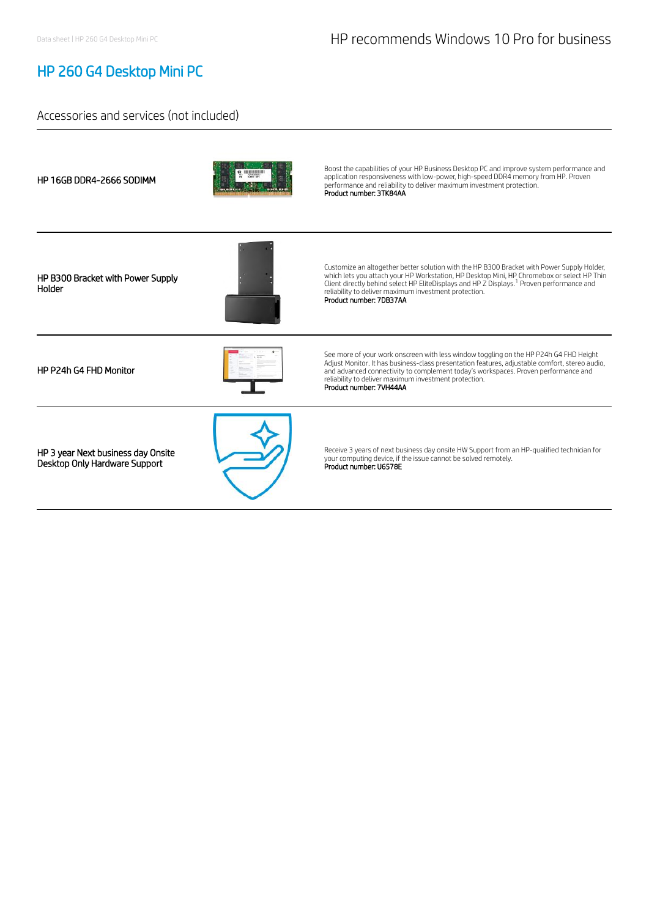## HP 260 G4 Desktop Mini PC

#### Accessories and services (not included)